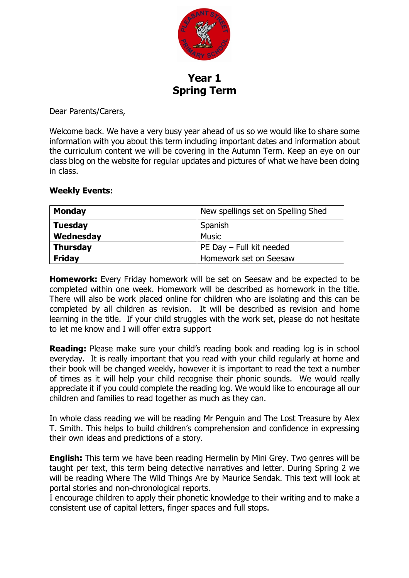

**Year 1 Spring Term**

Dear Parents/Carers,

Welcome back. We have a very busy year ahead of us so we would like to share some information with you about this term including important dates and information about the curriculum content we will be covering in the Autumn Term. Keep an eye on our class blog on the website for regular updates and pictures of what we have been doing in class.

## **Weekly Events:**

| <b>Monday</b>   | New spellings set on Spelling Shed |  |
|-----------------|------------------------------------|--|
| <b>Tuesday</b>  | Spanish                            |  |
| Wednesday       | Music                              |  |
| <b>Thursday</b> | PE Day - Full kit needed           |  |
| <b>Friday</b>   | Homework set on Seesaw             |  |

**Homework:** Every Friday homework will be set on Seesaw and be expected to be completed within one week. Homework will be described as homework in the title. There will also be work placed online for children who are isolating and this can be completed by all children as revision. It will be described as revision and home learning in the title. If your child struggles with the work set, please do not hesitate to let me know and I will offer extra support

**Reading:** Please make sure your child's reading book and reading log is in school everyday. It is really important that you read with your child regularly at home and their book will be changed weekly, however it is important to read the text a number of times as it will help your child recognise their phonic sounds. We would really appreciate it if you could complete the reading log. We would like to encourage all our children and families to read together as much as they can.

In whole class reading we will be reading Mr Penguin and The Lost Treasure by Alex T. Smith. This helps to build children's comprehension and confidence in expressing their own ideas and predictions of a story.

**English:** This term we have been reading Hermelin by Mini Grey. Two genres will be taught per text, this term being detective narratives and letter. During Spring 2 we will be reading Where The Wild Things Are by Maurice Sendak. This text will look at portal stories and non-chronological reports.

I encourage children to apply their phonetic knowledge to their writing and to make a consistent use of capital letters, finger spaces and full stops.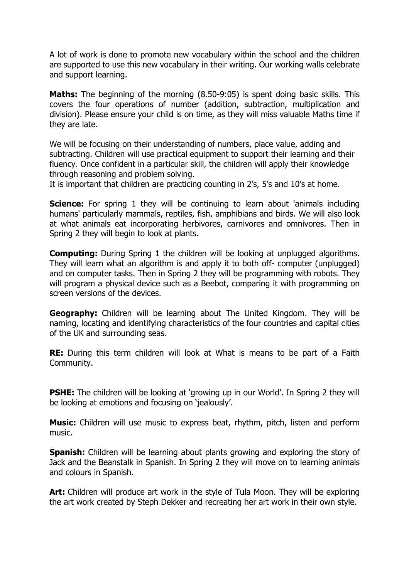A lot of work is done to promote new vocabulary within the school and the children are supported to use this new vocabulary in their writing. Our working walls celebrate and support learning.

**Maths:** The beginning of the morning (8.50-9:05) is spent doing basic skills. This covers the four operations of number (addition, subtraction, multiplication and division). Please ensure your child is on time, as they will miss valuable Maths time if they are late.

We will be focusing on their understanding of numbers, place value, adding and subtracting. Children will use practical equipment to support their learning and their fluency. Once confident in a particular skill, the children will apply their knowledge through reasoning and problem solving.

It is important that children are practicing counting in 2's, 5's and 10's at home.

**Science:** For spring 1 they will be continuing to learn about 'animals including humans' particularly mammals, reptiles, fish, amphibians and birds. We will also look at what animals eat incorporating herbivores, carnivores and omnivores. Then in Spring 2 they will begin to look at plants.

**Computing:** During Spring 1 the children will be looking at unplugged algorithms. They will learn what an algorithm is and apply it to both off- computer (unplugged) and on computer tasks. Then in Spring 2 they will be programming with robots. They will program a physical device such as a Beebot, comparing it with programming on screen versions of the devices.

**Geography:** Children will be learning about The United Kingdom. They will be naming, locating and identifying characteristics of the four countries and capital cities of the UK and surrounding seas.

**RE:** During this term children will look at What is means to be part of a Faith Community.

**PSHE:** The children will be looking at 'growing up in our World'. In Spring 2 they will be looking at emotions and focusing on 'jealously'.

**Music:** Children will use music to express beat, rhythm, pitch, listen and perform music.

**Spanish:** Children will be learning about plants growing and exploring the story of Jack and the Beanstalk in Spanish. In Spring 2 they will move on to learning animals and colours in Spanish.

**Art:** Children will produce art work in the style of Tula Moon. They will be exploring the art work created by Steph Dekker and recreating her art work in their own style.